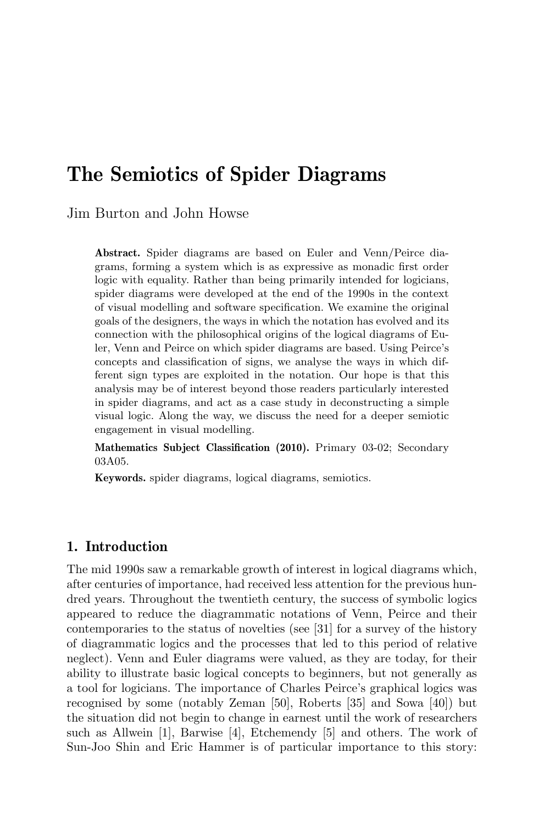# The Semiotics of Spider Diagrams

Jim Burton and John Howse

Abstract. Spider diagrams are based on Euler and Venn/Peirce diagrams, forming a system which is as expressive as monadic first order logic with equality. Rather than being primarily intended for logicians, spider diagrams were developed at the end of the 1990s in the context of visual modelling and software specification. We examine the original goals of the designers, the ways in which the notation has evolved and its connection with the philosophical origins of the logical diagrams of Euler, Venn and Peirce on which spider diagrams are based. Using Peirce's concepts and classification of signs, we analyse the ways in which different sign types are exploited in the notation. Our hope is that this analysis may be of interest beyond those readers particularly interested in spider diagrams, and act as a case study in deconstructing a simple visual logic. Along the way, we discuss the need for a deeper semiotic engagement in visual modelling.

Mathematics Subject Classification (2010). Primary 03-02; Secondary 03A05.

Keywords. spider diagrams, logical diagrams, semiotics.

# 1. Introduction

The mid 1990s saw a remarkable growth of interest in logical diagrams which, after centuries of importance, had received less attention for the previous hundred years. Throughout the twentieth century, the success of symbolic logics appeared to reduce the diagrammatic notations of Venn, Peirce and their contemporaries to the status of novelties (see [31] for a survey of the history of diagrammatic logics and the processes that led to this period of relative neglect). Venn and Euler diagrams were valued, as they are today, for their ability to illustrate basic logical concepts to beginners, but not generally as a tool for logicians. The importance of Charles Peirce's graphical logics was recognised by some (notably Zeman [50], Roberts [35] and Sowa [40]) but the situation did not begin to change in earnest until the work of researchers such as Allwein [1], Barwise [4], Etchemendy [5] and others. The work of Sun-Joo Shin and Eric Hammer is of particular importance to this story: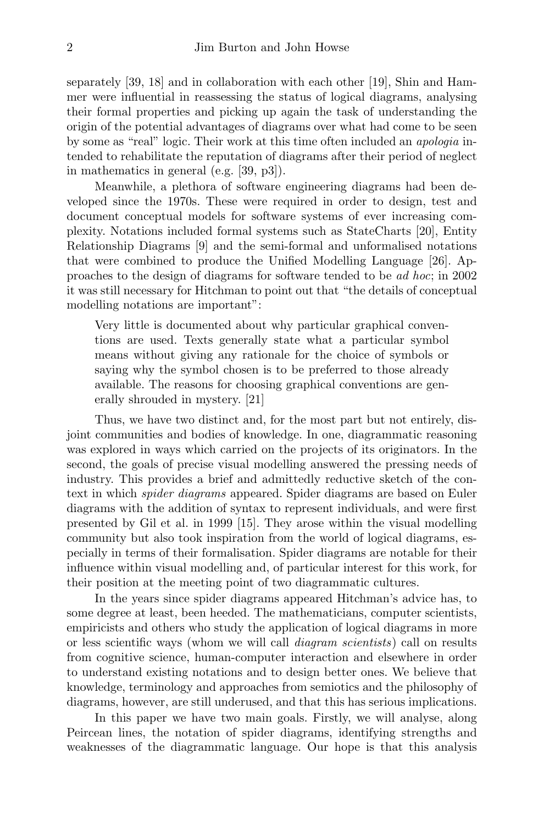separately [39, 18] and in collaboration with each other [19], Shin and Hammer were influential in reassessing the status of logical diagrams, analysing their formal properties and picking up again the task of understanding the origin of the potential advantages of diagrams over what had come to be seen by some as "real" logic. Their work at this time often included an apologia intended to rehabilitate the reputation of diagrams after their period of neglect in mathematics in general (e.g. [39, p3]).

Meanwhile, a plethora of software engineering diagrams had been developed since the 1970s. These were required in order to design, test and document conceptual models for software systems of ever increasing complexity. Notations included formal systems such as StateCharts [20], Entity Relationship Diagrams [9] and the semi-formal and unformalised notations that were combined to produce the Unified Modelling Language [26]. Approaches to the design of diagrams for software tended to be ad hoc; in 2002 it was still necessary for Hitchman to point out that "the details of conceptual modelling notations are important":

Very little is documented about why particular graphical conventions are used. Texts generally state what a particular symbol means without giving any rationale for the choice of symbols or saying why the symbol chosen is to be preferred to those already available. The reasons for choosing graphical conventions are generally shrouded in mystery. [21]

Thus, we have two distinct and, for the most part but not entirely, disjoint communities and bodies of knowledge. In one, diagrammatic reasoning was explored in ways which carried on the projects of its originators. In the second, the goals of precise visual modelling answered the pressing needs of industry. This provides a brief and admittedly reductive sketch of the context in which spider diagrams appeared. Spider diagrams are based on Euler diagrams with the addition of syntax to represent individuals, and were first presented by Gil et al. in 1999 [15]. They arose within the visual modelling community but also took inspiration from the world of logical diagrams, especially in terms of their formalisation. Spider diagrams are notable for their influence within visual modelling and, of particular interest for this work, for their position at the meeting point of two diagrammatic cultures.

In the years since spider diagrams appeared Hitchman's advice has, to some degree at least, been heeded. The mathematicians, computer scientists, empiricists and others who study the application of logical diagrams in more or less scientific ways (whom we will call diagram scientists) call on results from cognitive science, human-computer interaction and elsewhere in order to understand existing notations and to design better ones. We believe that knowledge, terminology and approaches from semiotics and the philosophy of diagrams, however, are still underused, and that this has serious implications.

In this paper we have two main goals. Firstly, we will analyse, along Peircean lines, the notation of spider diagrams, identifying strengths and weaknesses of the diagrammatic language. Our hope is that this analysis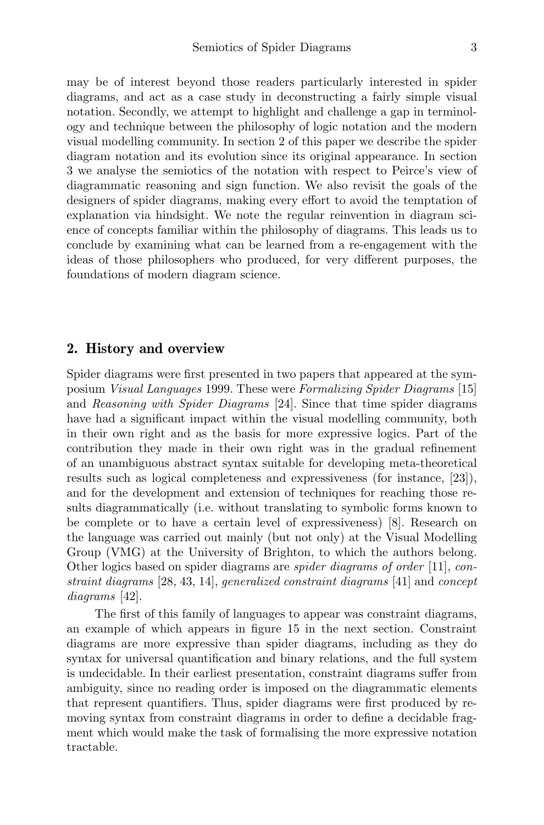may be of interest beyond those readers particularly interested in spider diagrams, and act as a case study in deconstructing a fairly simple visual notation. Secondly, we attempt to highlight and challenge a gap in terminology and technique between the philosophy of logic notation and the modern visual modelling community. In section 2 of this paper we describe the spider diagram notation and its evolution since its original appearance. In section 3 we analyse the semiotics of the notation with respect to Peirce's view of diagrammatic reasoning and sign function. We also revisit the goals of the designers of spider diagrams, making every effort to avoid the temptation of explanation via hindsight. We note the regular reinvention in diagram science of concepts familiar within the philosophy of diagrams. This leads us to conclude by examining what can be learned from a re-engagement with the ideas of those philosophers who produced, for very different purposes, the foundations of modern diagram science.

# 2. History and overview

Spider diagrams were first presented in two papers that appeared at the symposium Visual Languages 1999. These were Formalizing Spider Diagrams [15] and Reasoning with Spider Diagrams [24]. Since that time spider diagrams have had a significant impact within the visual modelling community, both in their own right and as the basis for more expressive logics. Part of the contribution they made in their own right was in the gradual refinement of an unambiguous abstract syntax suitable for developing meta-theoretical results such as logical completeness and expressiveness (for instance, [23]), and for the development and extension of techniques for reaching those results diagrammatically (i.e. without translating to symbolic forms known to be complete or to have a certain level of expressiveness) [8]. Research on the language was carried out mainly (but not only) at the Visual Modelling Group (VMG) at the University of Brighton, to which the authors belong. Other logics based on spider diagrams are spider diagrams of order [11], constraint diagrams [28, 43, 14], generalized constraint diagrams [41] and concept diagrams [42].

The first of this family of languages to appear was constraint diagrams, an example of which appears in figure 15 in the next section. Constraint diagrams are more expressive than spider diagrams, including as they do syntax for universal quantification and binary relations, and the full system is undecidable. In their earliest presentation, constraint diagrams suffer from ambiguity, since no reading order is imposed on the diagrammatic elements that represent quantifiers. Thus, spider diagrams were first produced by removing syntax from constraint diagrams in order to define a decidable fragment which would make the task of formalising the more expressive notation tractable.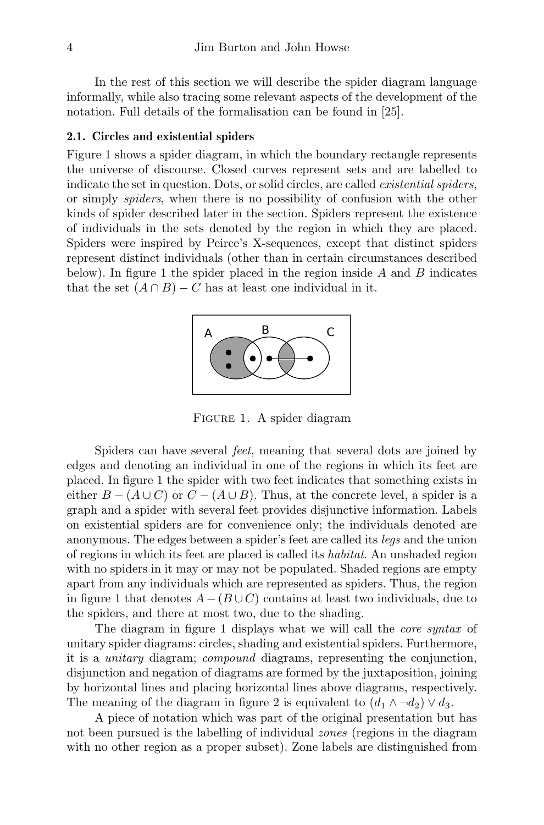In the rest of this section we will describe the spider diagram language informally, while also tracing some relevant aspects of the development of the notation. Full details of the formalisation can be found in [25].

#### 2.1. Circles and existential spiders

Figure 1 shows a spider diagram, in which the boundary rectangle represents the universe of discourse. Closed curves represent sets and are labelled to indicate the set in question. Dots, or solid circles, are called *existential spiders*, or simply spiders, when there is no possibility of confusion with the other kinds of spider described later in the section. Spiders represent the existence of individuals in the sets denoted by the region in which they are placed. Spiders were inspired by Peirce's X-sequences, except that distinct spiders represent distinct individuals (other than in certain circumstances described below). In figure 1 the spider placed in the region inside  $A$  and  $B$  indicates that the set  $(A \cap B) - C$  has at least one individual in it.



Figure 1. A spider diagram

Spiders can have several feet, meaning that several dots are joined by edges and denoting an individual in one of the regions in which its feet are placed. In figure 1 the spider with two feet indicates that something exists in either  $B - (A \cup C)$  or  $C - (A \cup B)$ . Thus, at the concrete level, a spider is a graph and a spider with several feet provides disjunctive information. Labels on existential spiders are for convenience only; the individuals denoted are anonymous. The edges between a spider's feet are called its legs and the union of regions in which its feet are placed is called its habitat. An unshaded region with no spiders in it may or may not be populated. Shaded regions are empty apart from any individuals which are represented as spiders. Thus, the region in figure 1 that denotes  $A - (B \cup C)$  contains at least two individuals, due to the spiders, and there at most two, due to the shading.

The diagram in figure 1 displays what we will call the *core syntax* of unitary spider diagrams: circles, shading and existential spiders. Furthermore, it is a unitary diagram; compound diagrams, representing the conjunction, disjunction and negation of diagrams are formed by the juxtaposition, joining by horizontal lines and placing horizontal lines above diagrams, respectively. The meaning of the diagram in figure 2 is equivalent to  $(d_1 \wedge \neg d_2) \vee d_3$ .

A piece of notation which was part of the original presentation but has not been pursued is the labelling of individual zones (regions in the diagram with no other region as a proper subset). Zone labels are distinguished from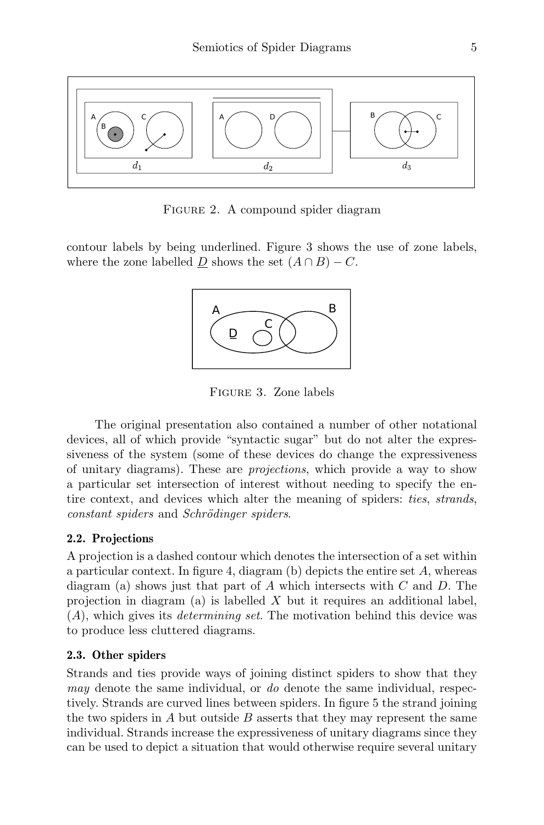

Figure 2. A compound spider diagram

contour labels by being underlined. Figure 3 shows the use of zone labels, where the zone labelled D shows the set  $(A \cap B) - C$ .



Figure 3. Zone labels

The original presentation also contained a number of other notational devices, all of which provide "syntactic sugar" but do not alter the expressiveness of the system (some of these devices do change the expressiveness of unitary diagrams). These are projections, which provide a way to show a particular set intersection of interest without needing to specify the entire context, and devices which alter the meaning of spiders: ties, strands, constant spiders and Schrödinger spiders.

# 2.2. Projections

A projection is a dashed contour which denotes the intersection of a set within a particular context. In figure 4, diagram (b) depicts the entire set  $A$ , whereas diagram (a) shows just that part of  $A$  which intersects with  $C$  and  $D$ . The projection in diagram (a) is labelled  $X$  but it requires an additional label,  $(A)$ , which gives its *determining set*. The motivation behind this device was to produce less cluttered diagrams.

# 2.3. Other spiders

Strands and ties provide ways of joining distinct spiders to show that they may denote the same individual, or do denote the same individual, respectively. Strands are curved lines between spiders. In figure 5 the strand joining the two spiders in  $A$  but outside  $B$  asserts that they may represent the same individual. Strands increase the expressiveness of unitary diagrams since they can be used to depict a situation that would otherwise require several unitary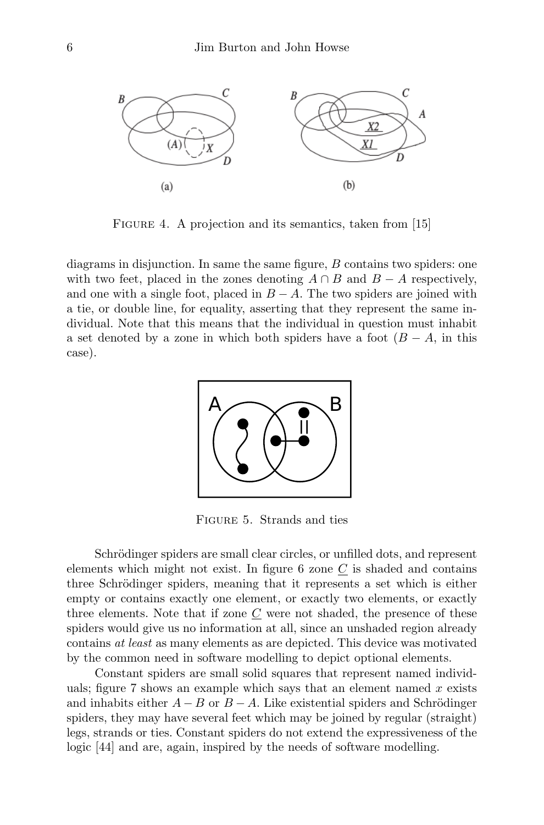

FIGURE 4. A projection and its semantics, taken from [15]

diagrams in disjunction. In same the same figure, B contains two spiders: one with two feet, placed in the zones denoting  $A \cap B$  and  $B - A$  respectively, and one with a single foot, placed in  $B - A$ . The two spiders are joined with a tie, or double line, for equality, asserting that they represent the same individual. Note that this means that the individual in question must inhabit a set denoted by a zone in which both spiders have a foot  $(B - A)$ , in this case).



Figure 5. Strands and ties

Schrödinger spiders are small clear circles, or unfilled dots, and represent elements which might not exist. In figure 6 zone  $C$  is shaded and contains three Schrödinger spiders, meaning that it represents a set which is either empty or contains exactly one element, or exactly two elements, or exactly three elements. Note that if zone  $C$  were not shaded, the presence of these spiders would give us no information at all, since an unshaded region already contains at least as many elements as are depicted. This device was motivated by the common need in software modelling to depict optional elements.

Constant spiders are small solid squares that represent named individuals; figure  $7$  shows an example which says that an element named  $x$  exists and inhabits either  $A - B$  or  $B - A$ . Like existential spiders and Schrödinger spiders, they may have several feet which may be joined by regular (straight) legs, strands or ties. Constant spiders do not extend the expressiveness of the logic [44] and are, again, inspired by the needs of software modelling.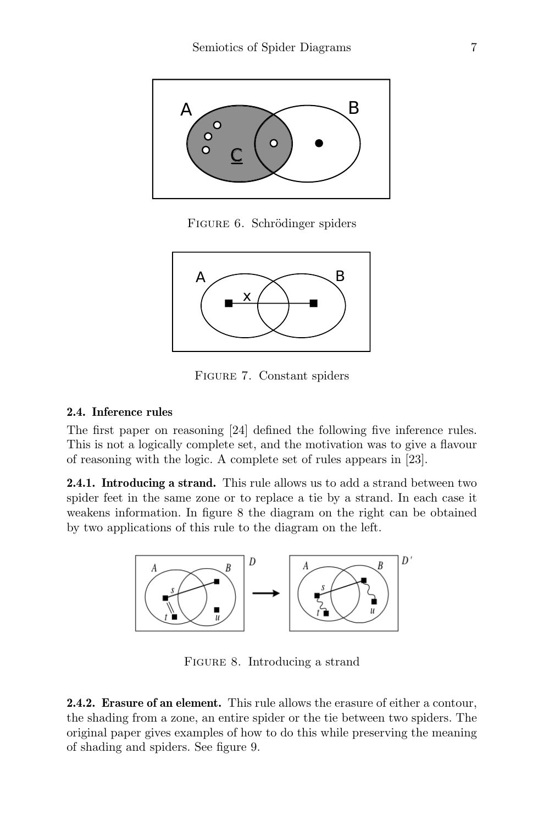

FIGURE 6. Schrödinger spiders



Figure 7. Constant spiders

# 2.4. Inference rules

The first paper on reasoning [24] defined the following five inference rules. This is not a logically complete set, and the motivation was to give a flavour of reasoning with the logic. A complete set of rules appears in [23].

2.4.1. Introducing a strand. This rule allows us to add a strand between two spider feet in the same zone or to replace a tie by a strand. In each case it weakens information. In figure 8 the diagram on the right can be obtained by two applications of this rule to the diagram on the left.



FIGURE 8. Introducing a strand

2.4.2. Erasure of an element. This rule allows the erasure of either a contour, the shading from a zone, an entire spider or the tie between two spiders. The original paper gives examples of how to do this while preserving the meaning of shading and spiders. See figure 9.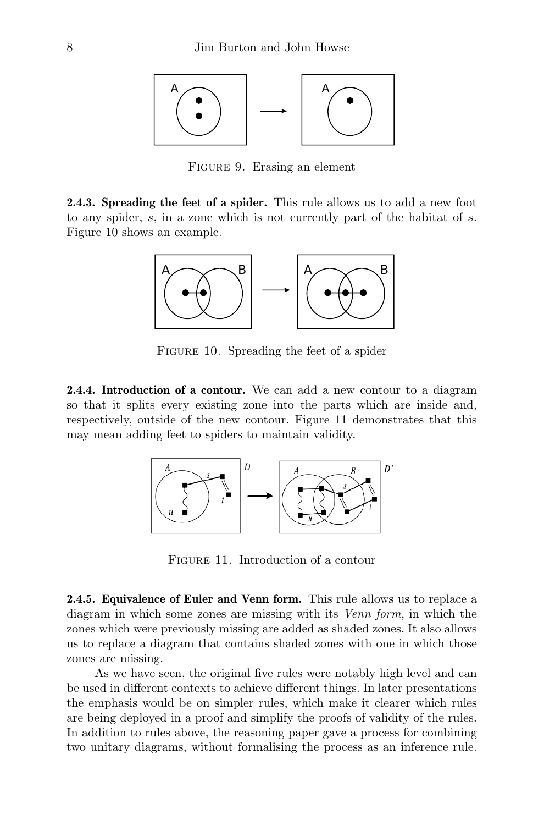

FIGURE 9. Erasing an element

2.4.3. Spreading the feet of a spider. This rule allows us to add a new foot to any spider, s, in a zone which is not currently part of the habitat of s. Figure 10 shows an example.



FIGURE 10. Spreading the feet of a spider

2.4.4. Introduction of a contour. We can add a new contour to a diagram so that it splits every existing zone into the parts which are inside and, respectively, outside of the new contour. Figure 11 demonstrates that this may mean adding feet to spiders to maintain validity.



FIGURE 11. Introduction of a contour

2.4.5. Equivalence of Euler and Venn form. This rule allows us to replace a diagram in which some zones are missing with its Venn form, in which the zones which were previously missing are added as shaded zones. It also allows us to replace a diagram that contains shaded zones with one in which those zones are missing.

As we have seen, the original five rules were notably high level and can be used in different contexts to achieve different things. In later presentations the emphasis would be on simpler rules, which make it clearer which rules are being deployed in a proof and simplify the proofs of validity of the rules. In addition to rules above, the reasoning paper gave a process for combining two unitary diagrams, without formalising the process as an inference rule.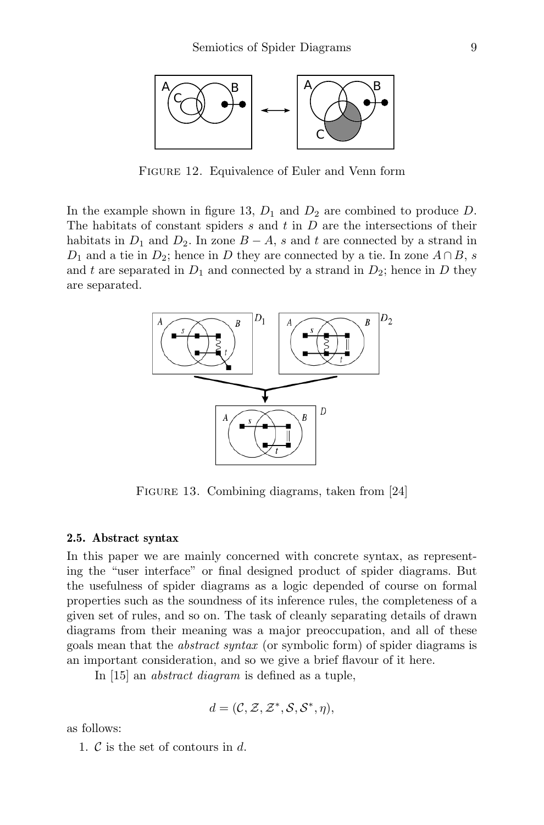

Figure 12. Equivalence of Euler and Venn form

In the example shown in figure 13,  $D_1$  and  $D_2$  are combined to produce D. The habitats of constant spiders  $s$  and  $t$  in  $D$  are the intersections of their habitats in  $D_1$  and  $D_2$ . In zone  $B - A$ , s and t are connected by a strand in  $D_1$  and a tie in  $D_2$ ; hence in D they are connected by a tie. In zone  $A \cap B$ , s and t are separated in  $D_1$  and connected by a strand in  $D_2$ ; hence in D they are separated.



FIGURE 13. Combining diagrams, taken from [24]

#### 2.5. Abstract syntax

In this paper we are mainly concerned with concrete syntax, as representing the "user interface" or final designed product of spider diagrams. But the usefulness of spider diagrams as a logic depended of course on formal properties such as the soundness of its inference rules, the completeness of a given set of rules, and so on. The task of cleanly separating details of drawn diagrams from their meaning was a major preoccupation, and all of these goals mean that the abstract syntax (or symbolic form) of spider diagrams is an important consideration, and so we give a brief flavour of it here.

In [15] an *abstract diagram* is defined as a tuple,

$$
d = (\mathcal{C}, \mathcal{Z}, \mathcal{Z}^*, \mathcal{S}, \mathcal{S}^*, \eta),
$$

as follows:

1.  $\mathcal C$  is the set of contours in d.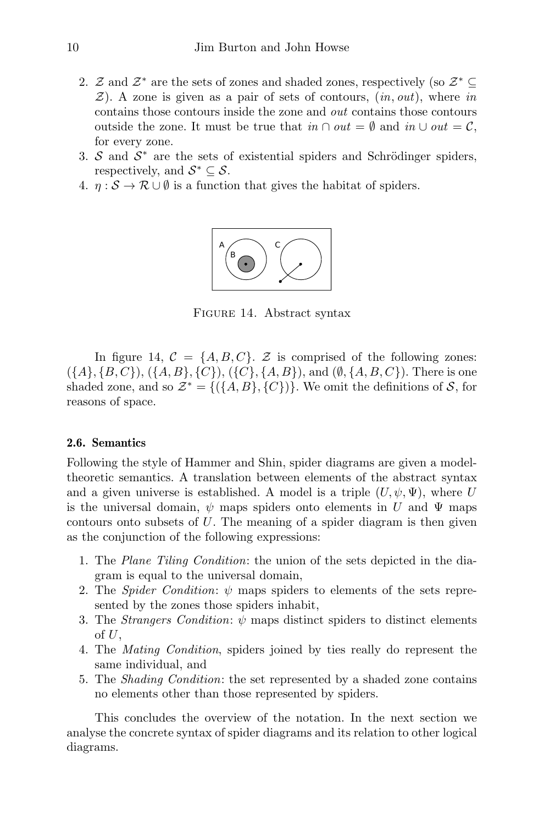- 2. Z and  $\mathcal{Z}^*$  are the sets of zones and shaded zones, respectively (so  $\mathcal{Z}^* \subseteq$  $\mathcal{Z}$ ). A zone is given as a pair of sets of contours,  $(in, out)$ , where in contains those contours inside the zone and out contains those contours outside the zone. It must be true that  $in \cap out = \emptyset$  and  $in \cup out = \mathcal{C}$ , for every zone.
- 3.  $S$  and  $S^*$  are the sets of existential spiders and Schrödinger spiders, respectively, and  $S^* \subseteq S$ .
- 4.  $n : \mathcal{S} \to \mathcal{R} \cup \emptyset$  is a function that gives the habitat of spiders.



Figure 14. Abstract syntax

In figure 14,  $\mathcal{C} = \{A, B, C\}$ . Z is comprised of the following zones:  $(\{A\}, \{B, C\}), (\{A, B\}, \{C\}), (\{C\}, \{A, B\}),$  and  $(\emptyset, \{A, B, C\})$ . There is one shaded zone, and so  $\mathcal{Z}^* = \{(\{A, B\}, \{C\})\}.$  We omit the definitions of  $\mathcal{S}$ , for reasons of space.

# 2.6. Semantics

Following the style of Hammer and Shin, spider diagrams are given a modeltheoretic semantics. A translation between elements of the abstract syntax and a given universe is established. A model is a triple  $(U, \psi, \Psi)$ , where U is the universal domain,  $\psi$  maps spiders onto elements in U and  $\Psi$  maps contours onto subsets of  $U$ . The meaning of a spider diagram is then given as the conjunction of the following expressions:

- 1. The Plane Tiling Condition: the union of the sets depicted in the diagram is equal to the universal domain,
- 2. The Spider Condition:  $\psi$  maps spiders to elements of the sets represented by the zones those spiders inhabit,
- 3. The *Strangers Condition*:  $\psi$  maps distinct spiders to distinct elements of  $U$ .
- 4. The Mating Condition, spiders joined by ties really do represent the same individual, and
- 5. The Shading Condition: the set represented by a shaded zone contains no elements other than those represented by spiders.

This concludes the overview of the notation. In the next section we analyse the concrete syntax of spider diagrams and its relation to other logical diagrams.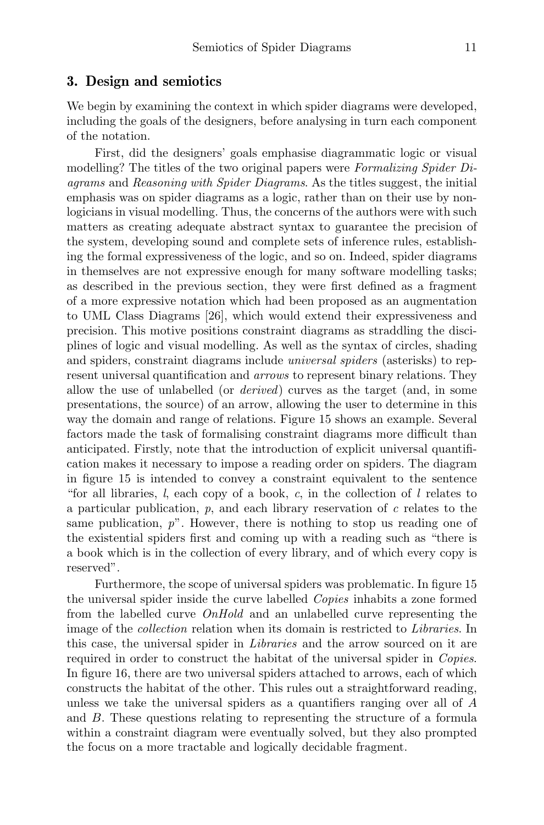# 3. Design and semiotics

We begin by examining the context in which spider diagrams were developed, including the goals of the designers, before analysing in turn each component of the notation.

First, did the designers' goals emphasise diagrammatic logic or visual modelling? The titles of the two original papers were Formalizing Spider Diagrams and Reasoning with Spider Diagrams. As the titles suggest, the initial emphasis was on spider diagrams as a logic, rather than on their use by nonlogicians in visual modelling. Thus, the concerns of the authors were with such matters as creating adequate abstract syntax to guarantee the precision of the system, developing sound and complete sets of inference rules, establishing the formal expressiveness of the logic, and so on. Indeed, spider diagrams in themselves are not expressive enough for many software modelling tasks; as described in the previous section, they were first defined as a fragment of a more expressive notation which had been proposed as an augmentation to UML Class Diagrams [26], which would extend their expressiveness and precision. This motive positions constraint diagrams as straddling the disciplines of logic and visual modelling. As well as the syntax of circles, shading and spiders, constraint diagrams include *universal spiders* (asterisks) to represent universal quantification and *arrows* to represent binary relations. They allow the use of unlabelled (or derived) curves as the target (and, in some presentations, the source) of an arrow, allowing the user to determine in this way the domain and range of relations. Figure 15 shows an example. Several factors made the task of formalising constraint diagrams more difficult than anticipated. Firstly, note that the introduction of explicit universal quantification makes it necessary to impose a reading order on spiders. The diagram in figure 15 is intended to convey a constraint equivalent to the sentence "for all libraries,  $l$ , each copy of a book,  $c$ , in the collection of  $l$  relates to a particular publication,  $p$ , and each library reservation of  $c$  relates to the same publication,  $p$ ". However, there is nothing to stop us reading one of the existential spiders first and coming up with a reading such as "there is a book which is in the collection of every library, and of which every copy is reserved".

Furthermore, the scope of universal spiders was problematic. In figure 15 the universal spider inside the curve labelled Copies inhabits a zone formed from the labelled curve OnHold and an unlabelled curve representing the image of the collection relation when its domain is restricted to Libraries. In this case, the universal spider in Libraries and the arrow sourced on it are required in order to construct the habitat of the universal spider in Copies. In figure 16, there are two universal spiders attached to arrows, each of which constructs the habitat of the other. This rules out a straightforward reading, unless we take the universal spiders as a quantifiers ranging over all of A and B. These questions relating to representing the structure of a formula within a constraint diagram were eventually solved, but they also prompted the focus on a more tractable and logically decidable fragment.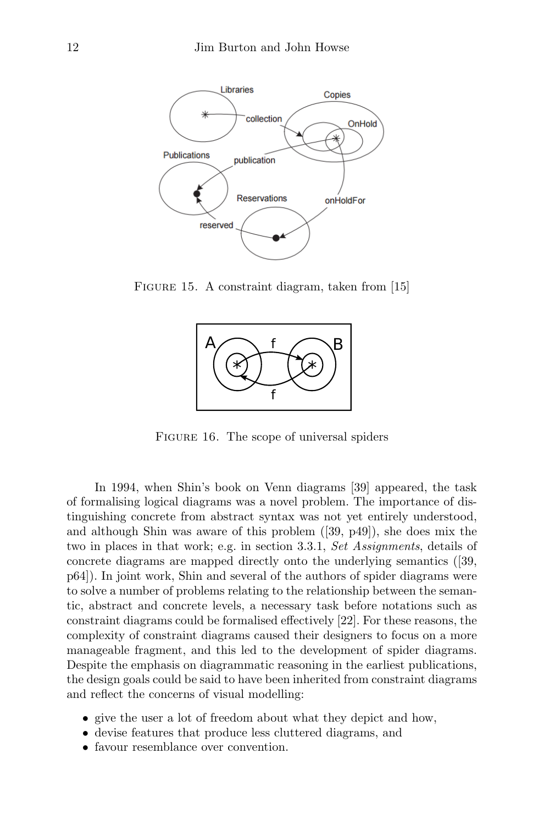

FIGURE 15. A constraint diagram, taken from [15]



FIGURE 16. The scope of universal spiders

In 1994, when Shin's book on Venn diagrams [39] appeared, the task of formalising logical diagrams was a novel problem. The importance of distinguishing concrete from abstract syntax was not yet entirely understood, and although Shin was aware of this problem ([39, p49]), she does mix the two in places in that work; e.g. in section 3.3.1, Set Assignments, details of concrete diagrams are mapped directly onto the underlying semantics ([39, p64]). In joint work, Shin and several of the authors of spider diagrams were to solve a number of problems relating to the relationship between the semantic, abstract and concrete levels, a necessary task before notations such as constraint diagrams could be formalised effectively [22]. For these reasons, the complexity of constraint diagrams caused their designers to focus on a more manageable fragment, and this led to the development of spider diagrams. Despite the emphasis on diagrammatic reasoning in the earliest publications, the design goals could be said to have been inherited from constraint diagrams and reflect the concerns of visual modelling:

- give the user a lot of freedom about what they depict and how,
- devise features that produce less cluttered diagrams, and
- favour resemblance over convention.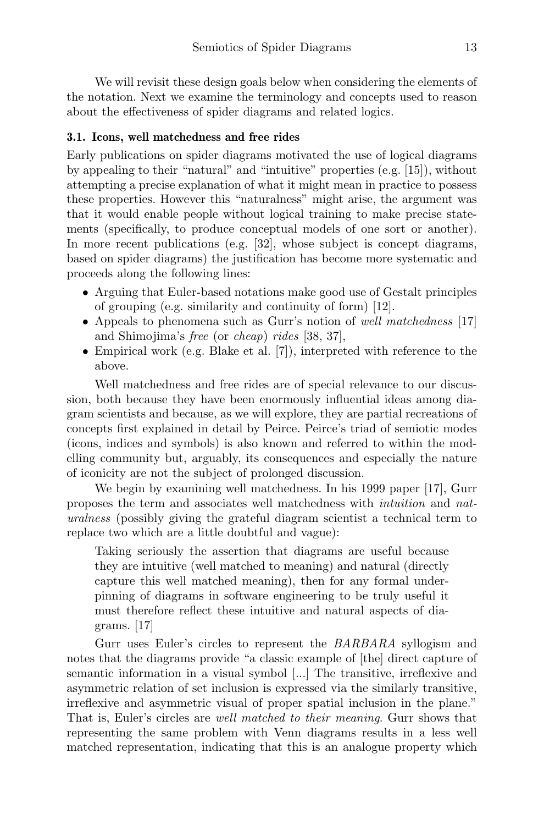We will revisit these design goals below when considering the elements of the notation. Next we examine the terminology and concepts used to reason about the effectiveness of spider diagrams and related logics.

#### 3.1. Icons, well matchedness and free rides

Early publications on spider diagrams motivated the use of logical diagrams by appealing to their "natural" and "intuitive" properties (e.g. [15]), without attempting a precise explanation of what it might mean in practice to possess these properties. However this "naturalness" might arise, the argument was that it would enable people without logical training to make precise statements (specifically, to produce conceptual models of one sort or another). In more recent publications (e.g. [32], whose subject is concept diagrams, based on spider diagrams) the justification has become more systematic and proceeds along the following lines:

- Arguing that Euler-based notations make good use of Gestalt principles of grouping (e.g. similarity and continuity of form) [12].
- Appeals to phenomena such as Gurr's notion of well matchedness [17] and Shimojima's free (or cheap) rides [38, 37],
- Empirical work (e.g. Blake et al. [7]), interpreted with reference to the above.

Well matchedness and free rides are of special relevance to our discussion, both because they have been enormously influential ideas among diagram scientists and because, as we will explore, they are partial recreations of concepts first explained in detail by Peirce. Peirce's triad of semiotic modes (icons, indices and symbols) is also known and referred to within the modelling community but, arguably, its consequences and especially the nature of iconicity are not the subject of prolonged discussion.

We begin by examining well matchedness. In his 1999 paper [17], Gurr proposes the term and associates well matchedness with intuition and naturalness (possibly giving the grateful diagram scientist a technical term to replace two which are a little doubtful and vague):

Taking seriously the assertion that diagrams are useful because they are intuitive (well matched to meaning) and natural (directly capture this well matched meaning), then for any formal underpinning of diagrams in software engineering to be truly useful it must therefore reflect these intuitive and natural aspects of diagrams. [17]

Gurr uses Euler's circles to represent the BARBARA syllogism and notes that the diagrams provide "a classic example of [the] direct capture of semantic information in a visual symbol [...] The transitive, irreflexive and asymmetric relation of set inclusion is expressed via the similarly transitive, irreflexive and asymmetric visual of proper spatial inclusion in the plane." That is, Euler's circles are well matched to their meaning. Gurr shows that representing the same problem with Venn diagrams results in a less well matched representation, indicating that this is an analogue property which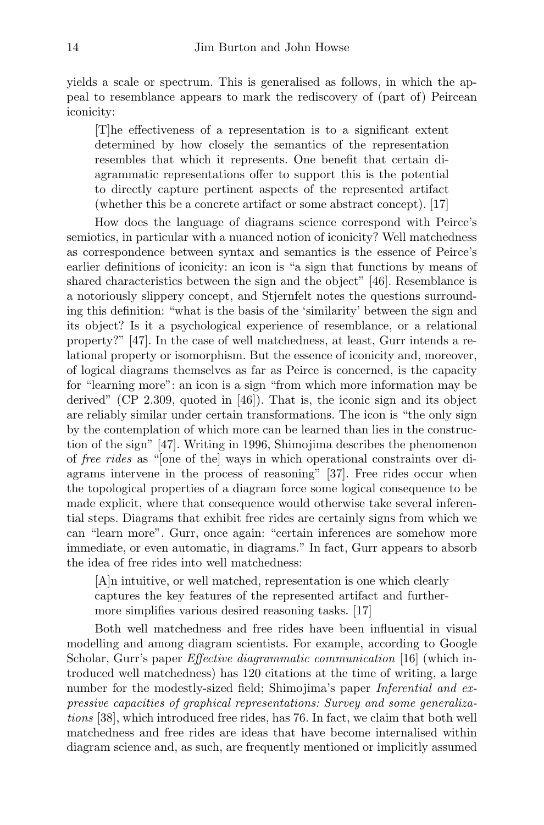yields a scale or spectrum. This is generalised as follows, in which the appeal to resemblance appears to mark the rediscovery of (part of) Peircean iconicity:

[T]he effectiveness of a representation is to a significant extent determined by how closely the semantics of the representation resembles that which it represents. One benefit that certain diagrammatic representations offer to support this is the potential to directly capture pertinent aspects of the represented artifact (whether this be a concrete artifact or some abstract concept). [17]

How does the language of diagrams science correspond with Peirce's semiotics, in particular with a nuanced notion of iconicity? Well matchedness as correspondence between syntax and semantics is the essence of Peirce's earlier definitions of iconicity: an icon is "a sign that functions by means of shared characteristics between the sign and the object" [46]. Resemblance is a notoriously slippery concept, and Stjernfelt notes the questions surrounding this definition: "what is the basis of the 'similarity' between the sign and its object? Is it a psychological experience of resemblance, or a relational property?" [47]. In the case of well matchedness, at least, Gurr intends a relational property or isomorphism. But the essence of iconicity and, moreover, of logical diagrams themselves as far as Peirce is concerned, is the capacity for "learning more": an icon is a sign "from which more information may be derived" (CP 2.309, quoted in [46]). That is, the iconic sign and its object are reliably similar under certain transformations. The icon is "the only sign by the contemplation of which more can be learned than lies in the construction of the sign" [47]. Writing in 1996, Shimojima describes the phenomenon of free rides as "[one of the] ways in which operational constraints over diagrams intervene in the process of reasoning" [37]. Free rides occur when the topological properties of a diagram force some logical consequence to be made explicit, where that consequence would otherwise take several inferential steps. Diagrams that exhibit free rides are certainly signs from which we can "learn more". Gurr, once again: "certain inferences are somehow more immediate, or even automatic, in diagrams." In fact, Gurr appears to absorb the idea of free rides into well matchedness:

[A]n intuitive, or well matched, representation is one which clearly captures the key features of the represented artifact and furthermore simplifies various desired reasoning tasks. [17]

Both well matchedness and free rides have been influential in visual modelling and among diagram scientists. For example, according to Google Scholar, Gurr's paper *Effective diagrammatic communication* [16] (which introduced well matchedness) has 120 citations at the time of writing, a large number for the modestly-sized field; Shimojima's paper *Inferential and ex*pressive capacities of graphical representations: Survey and some generalizations [38], which introduced free rides, has 76. In fact, we claim that both well matchedness and free rides are ideas that have become internalised within diagram science and, as such, are frequently mentioned or implicitly assumed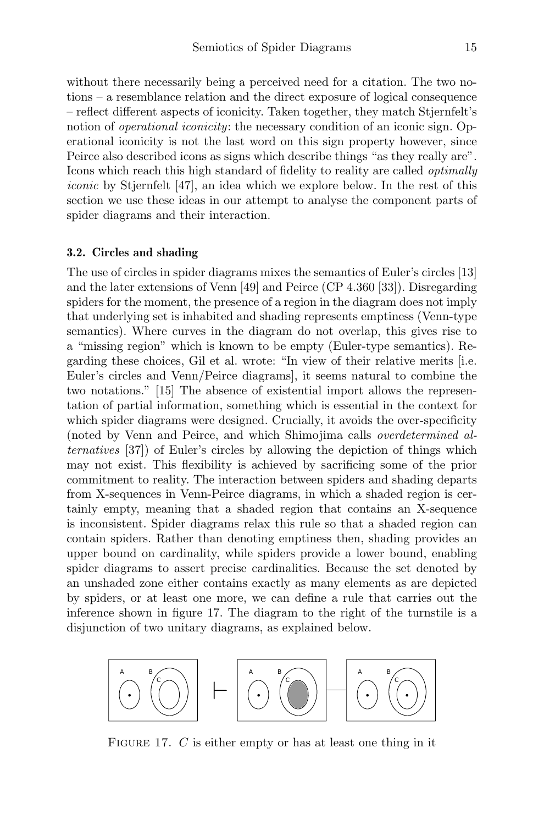without there necessarily being a perceived need for a citation. The two notions – a resemblance relation and the direct exposure of logical consequence – reflect different aspects of iconicity. Taken together, they match Stjernfelt's notion of *operational iconicity*: the necessary condition of an iconic sign. Operational iconicity is not the last word on this sign property however, since Peirce also described icons as signs which describe things "as they really are". Icons which reach this high standard of fidelity to reality are called optimally iconic by Stiernfelt [47], an idea which we explore below. In the rest of this section we use these ideas in our attempt to analyse the component parts of spider diagrams and their interaction.

#### 3.2. Circles and shading

The use of circles in spider diagrams mixes the semantics of Euler's circles [13] and the later extensions of Venn [49] and Peirce (CP 4.360 [33]). Disregarding spiders for the moment, the presence of a region in the diagram does not imply that underlying set is inhabited and shading represents emptiness (Venn-type semantics). Where curves in the diagram do not overlap, this gives rise to a "missing region" which is known to be empty (Euler-type semantics). Regarding these choices, Gil et al. wrote: "In view of their relative merits [i.e. Euler's circles and Venn/Peirce diagrams], it seems natural to combine the two notations." [15] The absence of existential import allows the representation of partial information, something which is essential in the context for which spider diagrams were designed. Crucially, it avoids the over-specificity (noted by Venn and Peirce, and which Shimojima calls overdetermined alternatives [37]) of Euler's circles by allowing the depiction of things which may not exist. This flexibility is achieved by sacrificing some of the prior commitment to reality. The interaction between spiders and shading departs from X-sequences in Venn-Peirce diagrams, in which a shaded region is certainly empty, meaning that a shaded region that contains an X-sequence is inconsistent. Spider diagrams relax this rule so that a shaded region can contain spiders. Rather than denoting emptiness then, shading provides an upper bound on cardinality, while spiders provide a lower bound, enabling spider diagrams to assert precise cardinalities. Because the set denoted by an unshaded zone either contains exactly as many elements as are depicted by spiders, or at least one more, we can define a rule that carries out the inference shown in figure 17. The diagram to the right of the turnstile is a disjunction of two unitary diagrams, as explained below.



FIGURE 17. C is either empty or has at least one thing in it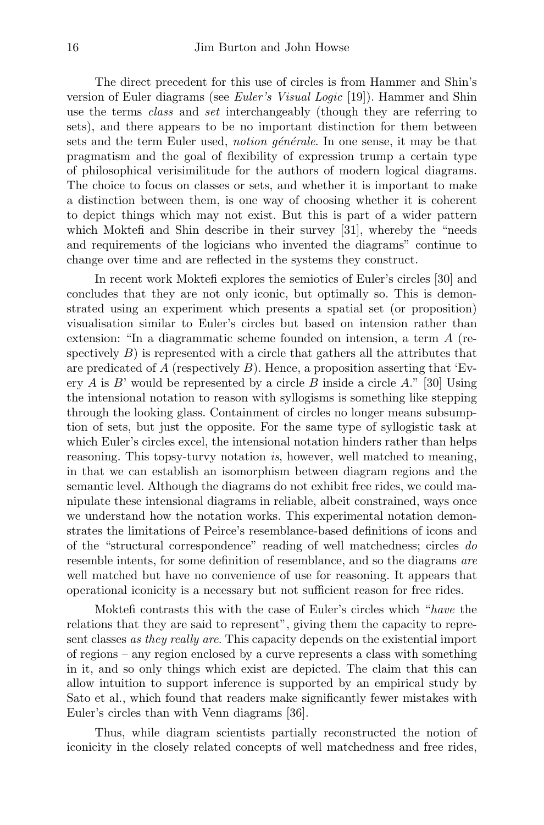The direct precedent for this use of circles is from Hammer and Shin's version of Euler diagrams (see Euler's Visual Logic [19]). Hammer and Shin use the terms class and set interchangeably (though they are referring to sets), and there appears to be no important distinction for them between sets and the term Euler used, *notion générale*. In one sense, it may be that pragmatism and the goal of flexibility of expression trump a certain type of philosophical verisimilitude for the authors of modern logical diagrams. The choice to focus on classes or sets, and whether it is important to make a distinction between them, is one way of choosing whether it is coherent to depict things which may not exist. But this is part of a wider pattern which Moktefi and Shin describe in their survey [31], whereby the "needs and requirements of the logicians who invented the diagrams" continue to change over time and are reflected in the systems they construct.

In recent work Moktefi explores the semiotics of Euler's circles [30] and concludes that they are not only iconic, but optimally so. This is demonstrated using an experiment which presents a spatial set (or proposition) visualisation similar to Euler's circles but based on intension rather than extension: "In a diagrammatic scheme founded on intension, a term A (respectively  $B$ ) is represented with a circle that gathers all the attributes that are predicated of  $A$  (respectively  $B$ ). Hence, a proposition asserting that 'Every A is B' would be represented by a circle B inside a circle A." [30] Using the intensional notation to reason with syllogisms is something like stepping through the looking glass. Containment of circles no longer means subsumption of sets, but just the opposite. For the same type of syllogistic task at which Euler's circles excel, the intensional notation hinders rather than helps reasoning. This topsy-turvy notation is, however, well matched to meaning, in that we can establish an isomorphism between diagram regions and the semantic level. Although the diagrams do not exhibit free rides, we could manipulate these intensional diagrams in reliable, albeit constrained, ways once we understand how the notation works. This experimental notation demonstrates the limitations of Peirce's resemblance-based definitions of icons and of the "structural correspondence" reading of well matchedness; circles do resemble intents, for some definition of resemblance, and so the diagrams are well matched but have no convenience of use for reasoning. It appears that operational iconicity is a necessary but not sufficient reason for free rides.

Moktefi contrasts this with the case of Euler's circles which "have the relations that they are said to represent", giving them the capacity to represent classes as they really are. This capacity depends on the existential import of regions – any region enclosed by a curve represents a class with something in it, and so only things which exist are depicted. The claim that this can allow intuition to support inference is supported by an empirical study by Sato et al., which found that readers make significantly fewer mistakes with Euler's circles than with Venn diagrams [36].

Thus, while diagram scientists partially reconstructed the notion of iconicity in the closely related concepts of well matchedness and free rides,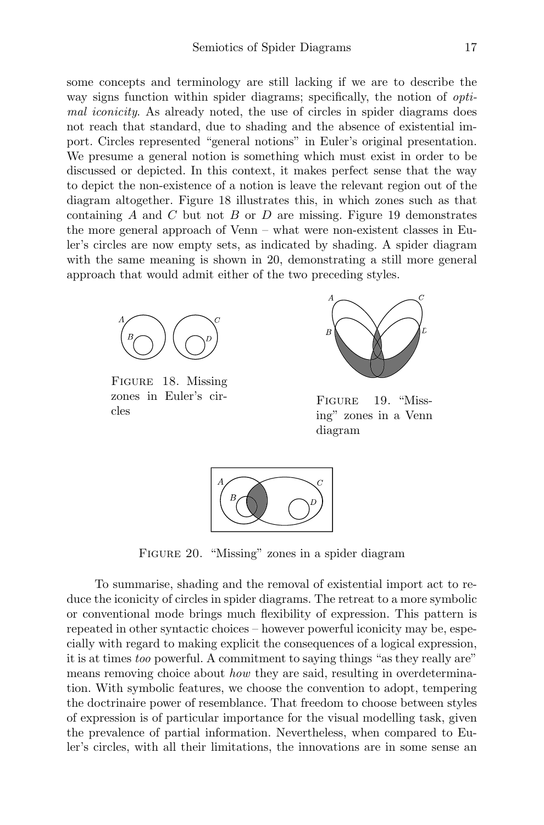some concepts and terminology are still lacking if we are to describe the way signs function within spider diagrams; specifically, the notion of *opti*mal iconicity. As already noted, the use of circles in spider diagrams does not reach that standard, due to shading and the absence of existential import. Circles represented "general notions" in Euler's original presentation. We presume a general notion is something which must exist in order to be discussed or depicted. In this context, it makes perfect sense that the way to depict the non-existence of a notion is leave the relevant region out of the diagram altogether. Figure 18 illustrates this, in which zones such as that containing A and C but not B or D are missing. Figure 19 demonstrates the more general approach of Venn – what were non-existent classes in Euler's circles are now empty sets, as indicated by shading. A spider diagram with the same meaning is shown in 20, demonstrating a still more general approach that would admit either of the two preceding styles.



Figure 18. Missing zones in Euler's circles



FIGURE 19. "Missing" zones in a Venn diagram



Figure 20. "Missing" zones in a spider diagram

To summarise, shading and the removal of existential import act to reduce the iconicity of circles in spider diagrams. The retreat to a more symbolic or conventional mode brings much flexibility of expression. This pattern is repeated in other syntactic choices – however powerful iconicity may be, especially with regard to making explicit the consequences of a logical expression, it is at times too powerful. A commitment to saying things "as they really are" means removing choice about *how* they are said, resulting in overdetermination. With symbolic features, we choose the convention to adopt, tempering the doctrinaire power of resemblance. That freedom to choose between styles of expression is of particular importance for the visual modelling task, given the prevalence of partial information. Nevertheless, when compared to Euler's circles, with all their limitations, the innovations are in some sense an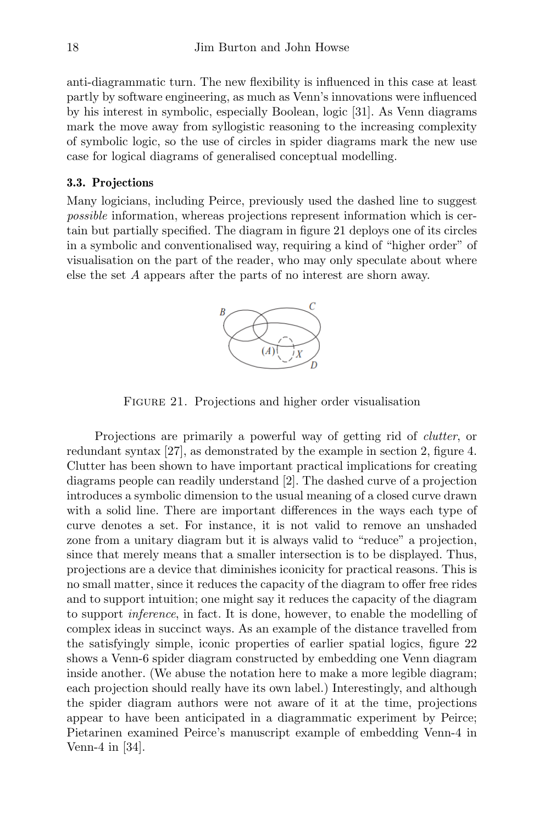anti-diagrammatic turn. The new flexibility is influenced in this case at least partly by software engineering, as much as Venn's innovations were influenced by his interest in symbolic, especially Boolean, logic [31]. As Venn diagrams mark the move away from syllogistic reasoning to the increasing complexity of symbolic logic, so the use of circles in spider diagrams mark the new use case for logical diagrams of generalised conceptual modelling.

#### 3.3. Projections

Many logicians, including Peirce, previously used the dashed line to suggest possible information, whereas projections represent information which is certain but partially specified. The diagram in figure 21 deploys one of its circles in a symbolic and conventionalised way, requiring a kind of "higher order" of visualisation on the part of the reader, who may only speculate about where else the set A appears after the parts of no interest are shorn away.



FIGURE 21. Projections and higher order visualisation

Projections are primarily a powerful way of getting rid of *clutter*, or redundant syntax [27], as demonstrated by the example in section 2, figure 4. Clutter has been shown to have important practical implications for creating diagrams people can readily understand [2]. The dashed curve of a projection introduces a symbolic dimension to the usual meaning of a closed curve drawn with a solid line. There are important differences in the ways each type of curve denotes a set. For instance, it is not valid to remove an unshaded zone from a unitary diagram but it is always valid to "reduce" a projection, since that merely means that a smaller intersection is to be displayed. Thus, projections are a device that diminishes iconicity for practical reasons. This is no small matter, since it reduces the capacity of the diagram to offer free rides and to support intuition; one might say it reduces the capacity of the diagram to support inference, in fact. It is done, however, to enable the modelling of complex ideas in succinct ways. As an example of the distance travelled from the satisfyingly simple, iconic properties of earlier spatial logics, figure 22 shows a Venn-6 spider diagram constructed by embedding one Venn diagram inside another. (We abuse the notation here to make a more legible diagram; each projection should really have its own label.) Interestingly, and although the spider diagram authors were not aware of it at the time, projections appear to have been anticipated in a diagrammatic experiment by Peirce; Pietarinen examined Peirce's manuscript example of embedding Venn-4 in Venn-4 in [34].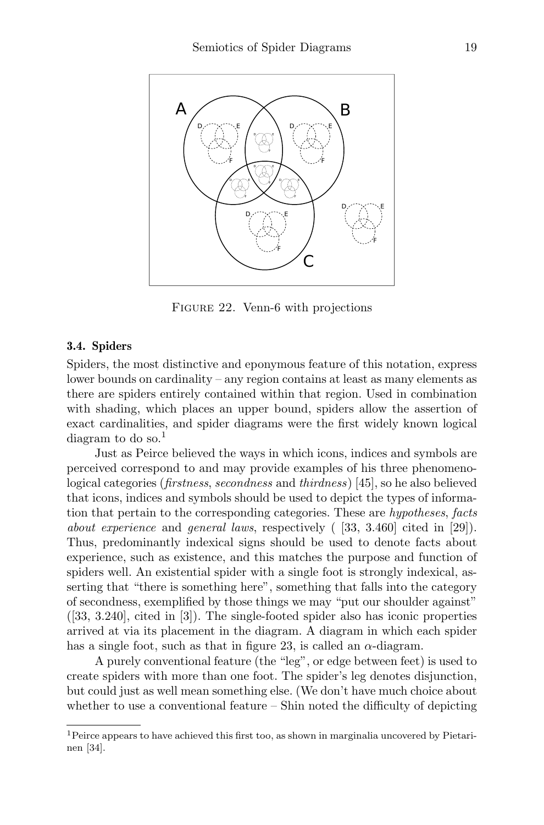

FIGURE 22. Venn-6 with projections

#### 3.4. Spiders

Spiders, the most distinctive and eponymous feature of this notation, express lower bounds on cardinality – any region contains at least as many elements as there are spiders entirely contained within that region. Used in combination with shading, which places an upper bound, spiders allow the assertion of exact cardinalities, and spider diagrams were the first widely known logical diagram to do so. $<sup>1</sup>$ </sup>

Just as Peirce believed the ways in which icons, indices and symbols are perceived correspond to and may provide examples of his three phenomenological categories (firstness, secondness and thirdness) [45], so he also believed that icons, indices and symbols should be used to depict the types of information that pertain to the corresponding categories. These are hypotheses, facts about experience and general laws, respectively ( [33, 3.460] cited in [29]). Thus, predominantly indexical signs should be used to denote facts about experience, such as existence, and this matches the purpose and function of spiders well. An existential spider with a single foot is strongly indexical, asserting that "there is something here", something that falls into the category of secondness, exemplified by those things we may "put our shoulder against" ([33, 3.240], cited in [3]). The single-footed spider also has iconic properties arrived at via its placement in the diagram. A diagram in which each spider has a single foot, such as that in figure 23, is called an  $\alpha$ -diagram.

A purely conventional feature (the "leg", or edge between feet) is used to create spiders with more than one foot. The spider's leg denotes disjunction, but could just as well mean something else. (We don't have much choice about whether to use a conventional feature  $-$  Shin noted the difficulty of depicting

<sup>&</sup>lt;sup>1</sup> Peirce appears to have achieved this first too, as shown in marginalia uncovered by Pietarinen [34].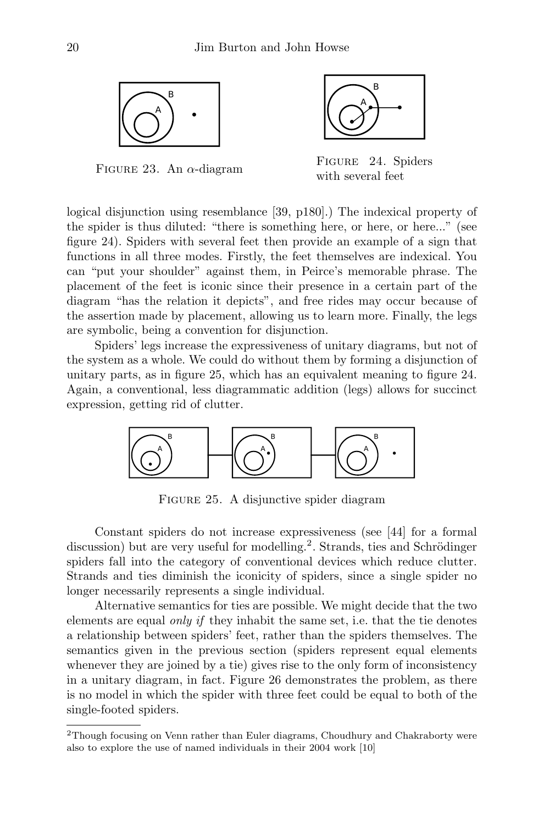

FIGURE 23. An  $\alpha$ -diagram



Figure 24. Spiders with several feet

logical disjunction using resemblance [39, p180].) The indexical property of the spider is thus diluted: "there is something here, or here, or here..." (see figure 24). Spiders with several feet then provide an example of a sign that functions in all three modes. Firstly, the feet themselves are indexical. You can "put your shoulder" against them, in Peirce's memorable phrase. The placement of the feet is iconic since their presence in a certain part of the diagram "has the relation it depicts", and free rides may occur because of the assertion made by placement, allowing us to learn more. Finally, the legs are symbolic, being a convention for disjunction.

Spiders' legs increase the expressiveness of unitary diagrams, but not of the system as a whole. We could do without them by forming a disjunction of unitary parts, as in figure 25, which has an equivalent meaning to figure 24. Again, a conventional, less diagrammatic addition (legs) allows for succinct expression, getting rid of clutter.



FIGURE 25. A disjunctive spider diagram

Constant spiders do not increase expressiveness (see [44] for a formal discussion) but are very useful for modelling.<sup>2</sup>. Strands, ties and Schrödinger spiders fall into the category of conventional devices which reduce clutter. Strands and ties diminish the iconicity of spiders, since a single spider no longer necessarily represents a single individual.

Alternative semantics for ties are possible. We might decide that the two elements are equal *only if* they inhabit the same set, i.e. that the tie denotes a relationship between spiders' feet, rather than the spiders themselves. The semantics given in the previous section (spiders represent equal elements whenever they are joined by a tie) gives rise to the only form of inconsistency in a unitary diagram, in fact. Figure 26 demonstrates the problem, as there is no model in which the spider with three feet could be equal to both of the single-footed spiders.

 $2$ Though focusing on Venn rather than Euler diagrams, Choudhury and Chakraborty were also to explore the use of named individuals in their 2004 work [10]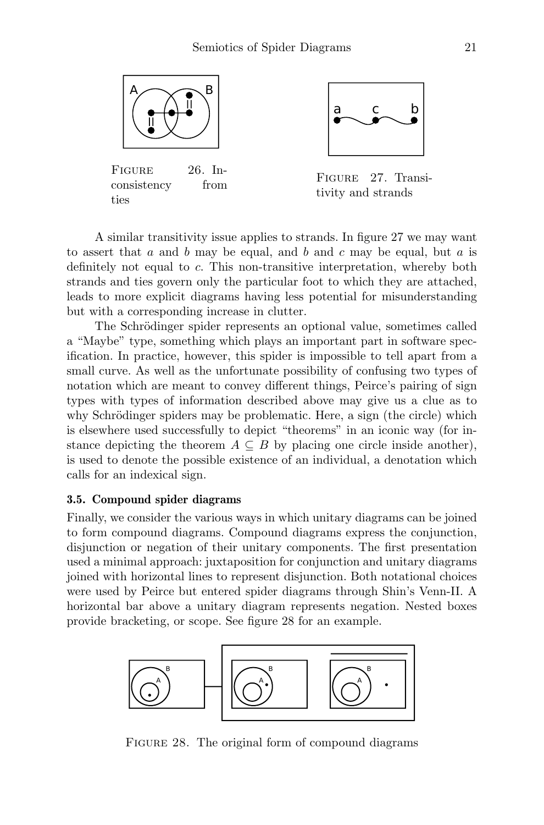

FIGURE 26. Inconsistency from ties



FIGURE 27. Transitivity and strands

A similar transitivity issue applies to strands. In figure 27 we may want to assert that  $a$  and  $b$  may be equal, and  $b$  and  $c$  may be equal, but  $a$  is definitely not equal to c. This non-transitive interpretation, whereby both strands and ties govern only the particular foot to which they are attached, leads to more explicit diagrams having less potential for misunderstanding but with a corresponding increase in clutter.

The Schrödinger spider represents an optional value, sometimes called a "Maybe" type, something which plays an important part in software specification. In practice, however, this spider is impossible to tell apart from a small curve. As well as the unfortunate possibility of confusing two types of notation which are meant to convey different things, Peirce's pairing of sign types with types of information described above may give us a clue as to why Schrödinger spiders may be problematic. Here, a sign (the circle) which is elsewhere used successfully to depict "theorems" in an iconic way (for instance depicting the theorem  $A \subseteq B$  by placing one circle inside another), is used to denote the possible existence of an individual, a denotation which calls for an indexical sign.

#### 3.5. Compound spider diagrams

Finally, we consider the various ways in which unitary diagrams can be joined to form compound diagrams. Compound diagrams express the conjunction, disjunction or negation of their unitary components. The first presentation used a minimal approach: juxtaposition for conjunction and unitary diagrams joined with horizontal lines to represent disjunction. Both notational choices were used by Peirce but entered spider diagrams through Shin's Venn-II. A horizontal bar above a unitary diagram represents negation. Nested boxes provide bracketing, or scope. See figure 28 for an example.



FIGURE 28. The original form of compound diagrams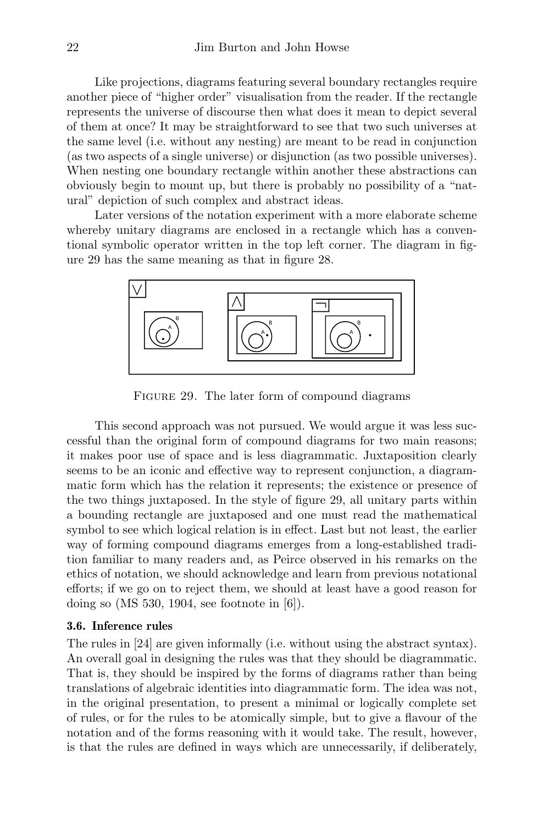Like projections, diagrams featuring several boundary rectangles require another piece of "higher order" visualisation from the reader. If the rectangle represents the universe of discourse then what does it mean to depict several of them at once? It may be straightforward to see that two such universes at the same level (i.e. without any nesting) are meant to be read in conjunction (as two aspects of a single universe) or disjunction (as two possible universes). When nesting one boundary rectangle within another these abstractions can obviously begin to mount up, but there is probably no possibility of a "natural" depiction of such complex and abstract ideas.

Later versions of the notation experiment with a more elaborate scheme whereby unitary diagrams are enclosed in a rectangle which has a conventional symbolic operator written in the top left corner. The diagram in figure 29 has the same meaning as that in figure 28.



FIGURE 29. The later form of compound diagrams

This second approach was not pursued. We would argue it was less successful than the original form of compound diagrams for two main reasons; it makes poor use of space and is less diagrammatic. Juxtaposition clearly seems to be an iconic and effective way to represent conjunction, a diagrammatic form which has the relation it represents; the existence or presence of the two things juxtaposed. In the style of figure 29, all unitary parts within a bounding rectangle are juxtaposed and one must read the mathematical symbol to see which logical relation is in effect. Last but not least, the earlier way of forming compound diagrams emerges from a long-established tradition familiar to many readers and, as Peirce observed in his remarks on the ethics of notation, we should acknowledge and learn from previous notational efforts; if we go on to reject them, we should at least have a good reason for doing so (MS 530, 1904, see footnote in [6]).

#### 3.6. Inference rules

The rules in [24] are given informally (i.e. without using the abstract syntax). An overall goal in designing the rules was that they should be diagrammatic. That is, they should be inspired by the forms of diagrams rather than being translations of algebraic identities into diagrammatic form. The idea was not, in the original presentation, to present a minimal or logically complete set of rules, or for the rules to be atomically simple, but to give a flavour of the notation and of the forms reasoning with it would take. The result, however, is that the rules are defined in ways which are unnecessarily, if deliberately,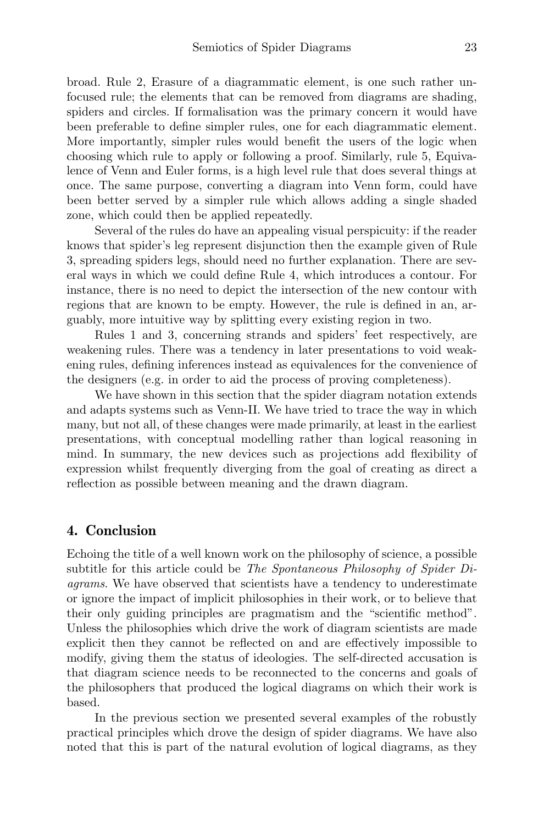broad. Rule 2, Erasure of a diagrammatic element, is one such rather unfocused rule; the elements that can be removed from diagrams are shading, spiders and circles. If formalisation was the primary concern it would have been preferable to define simpler rules, one for each diagrammatic element. More importantly, simpler rules would benefit the users of the logic when choosing which rule to apply or following a proof. Similarly, rule 5, Equivalence of Venn and Euler forms, is a high level rule that does several things at once. The same purpose, converting a diagram into Venn form, could have been better served by a simpler rule which allows adding a single shaded zone, which could then be applied repeatedly.

Several of the rules do have an appealing visual perspicuity: if the reader knows that spider's leg represent disjunction then the example given of Rule 3, spreading spiders legs, should need no further explanation. There are several ways in which we could define Rule 4, which introduces a contour. For instance, there is no need to depict the intersection of the new contour with regions that are known to be empty. However, the rule is defined in an, arguably, more intuitive way by splitting every existing region in two.

Rules 1 and 3, concerning strands and spiders' feet respectively, are weakening rules. There was a tendency in later presentations to void weakening rules, defining inferences instead as equivalences for the convenience of the designers (e.g. in order to aid the process of proving completeness).

We have shown in this section that the spider diagram notation extends and adapts systems such as Venn-II. We have tried to trace the way in which many, but not all, of these changes were made primarily, at least in the earliest presentations, with conceptual modelling rather than logical reasoning in mind. In summary, the new devices such as projections add flexibility of expression whilst frequently diverging from the goal of creating as direct a reflection as possible between meaning and the drawn diagram.

# 4. Conclusion

Echoing the title of a well known work on the philosophy of science, a possible subtitle for this article could be The Spontaneous Philosophy of Spider Diagrams. We have observed that scientists have a tendency to underestimate or ignore the impact of implicit philosophies in their work, or to believe that their only guiding principles are pragmatism and the "scientific method". Unless the philosophies which drive the work of diagram scientists are made explicit then they cannot be reflected on and are effectively impossible to modify, giving them the status of ideologies. The self-directed accusation is that diagram science needs to be reconnected to the concerns and goals of the philosophers that produced the logical diagrams on which their work is based.

In the previous section we presented several examples of the robustly practical principles which drove the design of spider diagrams. We have also noted that this is part of the natural evolution of logical diagrams, as they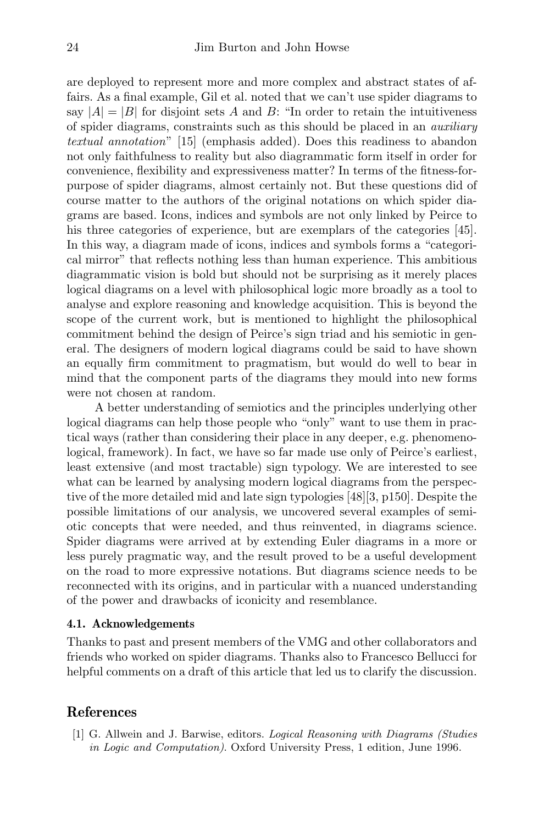are deployed to represent more and more complex and abstract states of affairs. As a final example, Gil et al. noted that we can't use spider diagrams to say  $|A| = |B|$  for disjoint sets A and B: "In order to retain the intuitiveness of spider diagrams, constraints such as this should be placed in an auxiliary textual annotation" [15] (emphasis added). Does this readiness to abandon not only faithfulness to reality but also diagrammatic form itself in order for convenience, flexibility and expressiveness matter? In terms of the fitness-forpurpose of spider diagrams, almost certainly not. But these questions did of course matter to the authors of the original notations on which spider diagrams are based. Icons, indices and symbols are not only linked by Peirce to his three categories of experience, but are exemplars of the categories [45]. In this way, a diagram made of icons, indices and symbols forms a "categorical mirror" that reflects nothing less than human experience. This ambitious diagrammatic vision is bold but should not be surprising as it merely places logical diagrams on a level with philosophical logic more broadly as a tool to analyse and explore reasoning and knowledge acquisition. This is beyond the scope of the current work, but is mentioned to highlight the philosophical commitment behind the design of Peirce's sign triad and his semiotic in general. The designers of modern logical diagrams could be said to have shown an equally firm commitment to pragmatism, but would do well to bear in mind that the component parts of the diagrams they mould into new forms were not chosen at random.

A better understanding of semiotics and the principles underlying other logical diagrams can help those people who "only" want to use them in practical ways (rather than considering their place in any deeper, e.g. phenomenological, framework). In fact, we have so far made use only of Peirce's earliest, least extensive (and most tractable) sign typology. We are interested to see what can be learned by analysing modern logical diagrams from the perspective of the more detailed mid and late sign typologies [48][3, p150]. Despite the possible limitations of our analysis, we uncovered several examples of semiotic concepts that were needed, and thus reinvented, in diagrams science. Spider diagrams were arrived at by extending Euler diagrams in a more or less purely pragmatic way, and the result proved to be a useful development on the road to more expressive notations. But diagrams science needs to be reconnected with its origins, and in particular with a nuanced understanding of the power and drawbacks of iconicity and resemblance.

#### 4.1. Acknowledgements

Thanks to past and present members of the VMG and other collaborators and friends who worked on spider diagrams. Thanks also to Francesco Bellucci for helpful comments on a draft of this article that led us to clarify the discussion.

# References

[1] G. Allwein and J. Barwise, editors. Logical Reasoning with Diagrams (Studies in Logic and Computation). Oxford University Press, 1 edition, June 1996.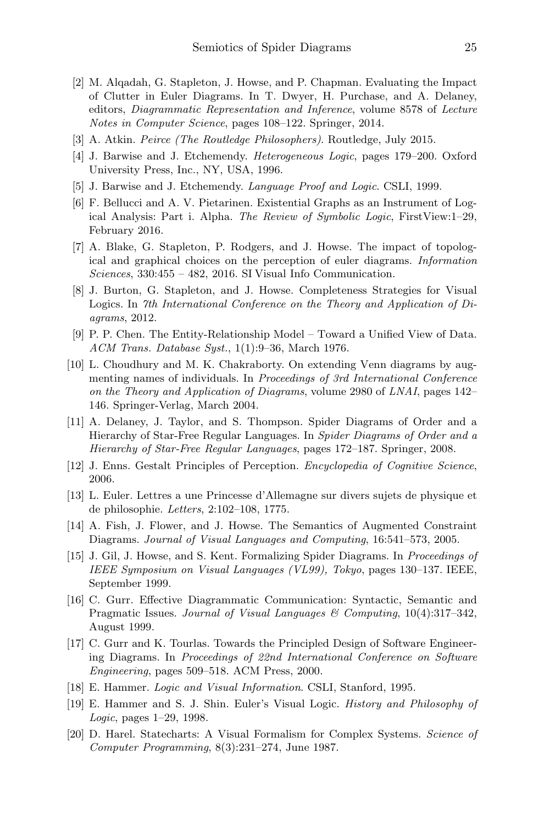- [2] M. Alqadah, G. Stapleton, J. Howse, and P. Chapman. Evaluating the Impact of Clutter in Euler Diagrams. In T. Dwyer, H. Purchase, and A. Delaney, editors, Diagrammatic Representation and Inference, volume 8578 of Lecture Notes in Computer Science, pages 108–122. Springer, 2014.
- [3] A. Atkin. *Peirce (The Routledge Philosophers)*. Routledge, July 2015.
- [4] J. Barwise and J. Etchemendy. Heterogeneous Logic, pages 179–200. Oxford University Press, Inc., NY, USA, 1996.
- [5] J. Barwise and J. Etchemendy. Language Proof and Logic. CSLI, 1999.
- [6] F. Bellucci and A. V. Pietarinen. Existential Graphs as an Instrument of Logical Analysis: Part i. Alpha. The Review of Symbolic Logic, FirstView:1–29, February 2016.
- [7] A. Blake, G. Stapleton, P. Rodgers, and J. Howse. The impact of topological and graphical choices on the perception of euler diagrams. Information  $Sciences, 330:455 - 482, 2016.$  SI Visual Info Communication.
- [8] J. Burton, G. Stapleton, and J. Howse. Completeness Strategies for Visual Logics. In 7th International Conference on the Theory and Application of Diagrams, 2012.
- [9] P. P. Chen. The Entity-Relationship Model Toward a Unified View of Data. ACM Trans. Database Syst., 1(1):9–36, March 1976.
- [10] L. Choudhury and M. K. Chakraborty. On extending Venn diagrams by augmenting names of individuals. In *Proceedings of 3rd International Conference* on the Theory and Application of Diagrams, volume 2980 of LNAI, pages 142– 146. Springer-Verlag, March 2004.
- [11] A. Delaney, J. Taylor, and S. Thompson. Spider Diagrams of Order and a Hierarchy of Star-Free Regular Languages. In Spider Diagrams of Order and a Hierarchy of Star-Free Regular Languages, pages 172–187. Springer, 2008.
- [12] J. Enns. Gestalt Principles of Perception. Encyclopedia of Cognitive Science, 2006.
- [13] L. Euler. Lettres a une Princesse d'Allemagne sur divers sujets de physique et de philosophie. Letters, 2:102–108, 1775.
- [14] A. Fish, J. Flower, and J. Howse. The Semantics of Augmented Constraint Diagrams. Journal of Visual Languages and Computing, 16:541–573, 2005.
- [15] J. Gil, J. Howse, and S. Kent. Formalizing Spider Diagrams. In Proceedings of IEEE Symposium on Visual Languages (VL99), Tokyo, pages 130–137. IEEE, September 1999.
- [16] C. Gurr. Effective Diagrammatic Communication: Syntactic, Semantic and Pragmatic Issues. Journal of Visual Languages & Computing,  $10(4):317-342$ , August 1999.
- [17] C. Gurr and K. Tourlas. Towards the Principled Design of Software Engineering Diagrams. In Proceedings of 22nd International Conference on Software Engineering, pages 509–518. ACM Press, 2000.
- [18] E. Hammer. Logic and Visual Information. CSLI, Stanford, 1995.
- [19] E. Hammer and S. J. Shin. Euler's Visual Logic. History and Philosophy of Logic, pages 1–29, 1998.
- [20] D. Harel. Statecharts: A Visual Formalism for Complex Systems. Science of Computer Programming, 8(3):231–274, June 1987.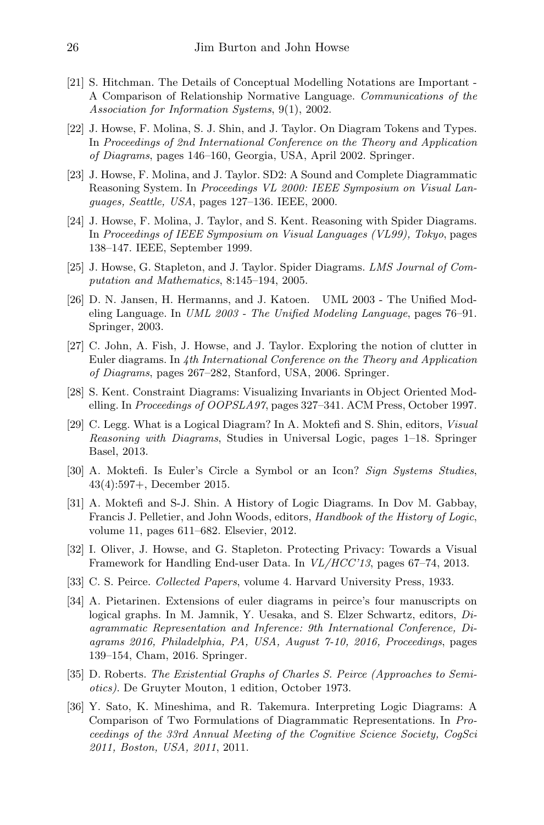- [21] S. Hitchman. The Details of Conceptual Modelling Notations are Important A Comparison of Relationship Normative Language. Communications of the Association for Information Systems, 9(1), 2002.
- [22] J. Howse, F. Molina, S. J. Shin, and J. Taylor. On Diagram Tokens and Types. In Proceedings of 2nd International Conference on the Theory and Application of Diagrams, pages 146–160, Georgia, USA, April 2002. Springer.
- [23] J. Howse, F. Molina, and J. Taylor. SD2: A Sound and Complete Diagrammatic Reasoning System. In Proceedings VL 2000: IEEE Symposium on Visual Languages, Seattle, USA, pages 127–136. IEEE, 2000.
- [24] J. Howse, F. Molina, J. Taylor, and S. Kent. Reasoning with Spider Diagrams. In Proceedings of IEEE Symposium on Visual Languages (VL99), Tokyo, pages 138–147. IEEE, September 1999.
- [25] J. Howse, G. Stapleton, and J. Taylor. Spider Diagrams. LMS Journal of Computation and Mathematics, 8:145–194, 2005.
- [26] D. N. Jansen, H. Hermanns, and J. Katoen. UML 2003 The Unified Modeling Language. In UML 2003 - The Unified Modeling Language, pages 76–91. Springer, 2003.
- [27] C. John, A. Fish, J. Howse, and J. Taylor. Exploring the notion of clutter in Euler diagrams. In 4th International Conference on the Theory and Application of Diagrams, pages 267–282, Stanford, USA, 2006. Springer.
- [28] S. Kent. Constraint Diagrams: Visualizing Invariants in Object Oriented Modelling. In Proceedings of OOPSLA97, pages 327–341. ACM Press, October 1997.
- [29] C. Legg. What is a Logical Diagram? In A. Moktefi and S. Shin, editors, Visual Reasoning with Diagrams, Studies in Universal Logic, pages 1–18. Springer Basel, 2013.
- [30] A. Moktefi. Is Euler's Circle a Symbol or an Icon? Sign Systems Studies, 43(4):597+, December 2015.
- [31] A. Moktefi and S-J. Shin. A History of Logic Diagrams. In Dov M. Gabbay, Francis J. Pelletier, and John Woods, editors, Handbook of the History of Logic, volume 11, pages 611–682. Elsevier, 2012.
- [32] I. Oliver, J. Howse, and G. Stapleton. Protecting Privacy: Towards a Visual Framework for Handling End-user Data. In VL/HCC'13, pages 67–74, 2013.
- [33] C. S. Peirce. *Collected Papers*, volume 4. Harvard University Press, 1933.
- [34] A. Pietarinen. Extensions of euler diagrams in peirce's four manuscripts on logical graphs. In M. Jamnik, Y. Uesaka, and S. Elzer Schwartz, editors, Diagrammatic Representation and Inference: 9th International Conference, Diagrams 2016, Philadelphia, PA, USA, August 7-10, 2016, Proceedings, pages 139–154, Cham, 2016. Springer.
- [35] D. Roberts. The Existential Graphs of Charles S. Peirce (Approaches to Semiotics). De Gruyter Mouton, 1 edition, October 1973.
- [36] Y. Sato, K. Mineshima, and R. Takemura. Interpreting Logic Diagrams: A Comparison of Two Formulations of Diagrammatic Representations. In Proceedings of the 33rd Annual Meeting of the Cognitive Science Society, CogSci 2011, Boston, USA, 2011, 2011.